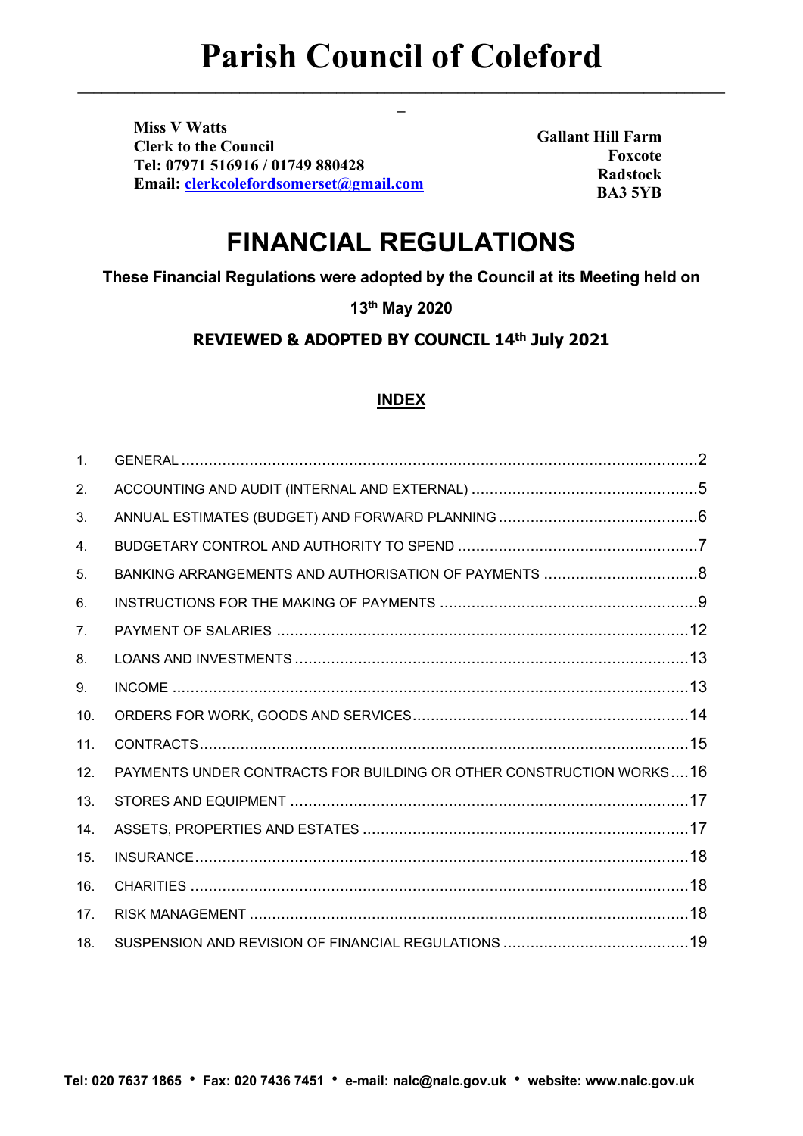**\_\_\_\_\_\_\_\_\_\_\_\_\_\_\_\_\_\_\_\_\_\_\_\_\_\_\_\_\_\_\_\_\_\_\_\_\_\_\_\_\_\_\_\_\_\_\_\_\_\_\_\_\_\_\_\_\_\_\_\_\_\_\_\_\_\_\_\_\_\_\_\_\_\_\_\_\_\_\_\_ \_**

**Miss V Watts Clerk to the Council Tel: 07971 516916 / 01749 880428 Email: [clerkcolefordsomerset@gmail.com](mailto:clerkcolefordsomerset@gmail.com)**

**Gallant Hill Farm Foxcote Radstock BA3 5YB**

# **FINANCIAL REGULATIONS**

**These Financial Regulations were adopted by the Council at its Meeting held on** 

**13th May 2020**

**REVIEWED & ADOPTED BY COUNCIL 14th July 2021**

#### **INDEX**

| $\mathbf{1}$ . |                                                                     |  |
|----------------|---------------------------------------------------------------------|--|
| 2.             |                                                                     |  |
| 3.             |                                                                     |  |
| 4.             |                                                                     |  |
| 5.             |                                                                     |  |
| 6.             |                                                                     |  |
| 7.             |                                                                     |  |
| 8.             |                                                                     |  |
| 9.             |                                                                     |  |
| 10.            |                                                                     |  |
| 11.            |                                                                     |  |
| 12.            | PAYMENTS UNDER CONTRACTS FOR BUILDING OR OTHER CONSTRUCTION WORKS16 |  |
| 13.            |                                                                     |  |
| 14.            |                                                                     |  |
| 15.            |                                                                     |  |
| 16.            |                                                                     |  |
| 17.            |                                                                     |  |
| 18.            |                                                                     |  |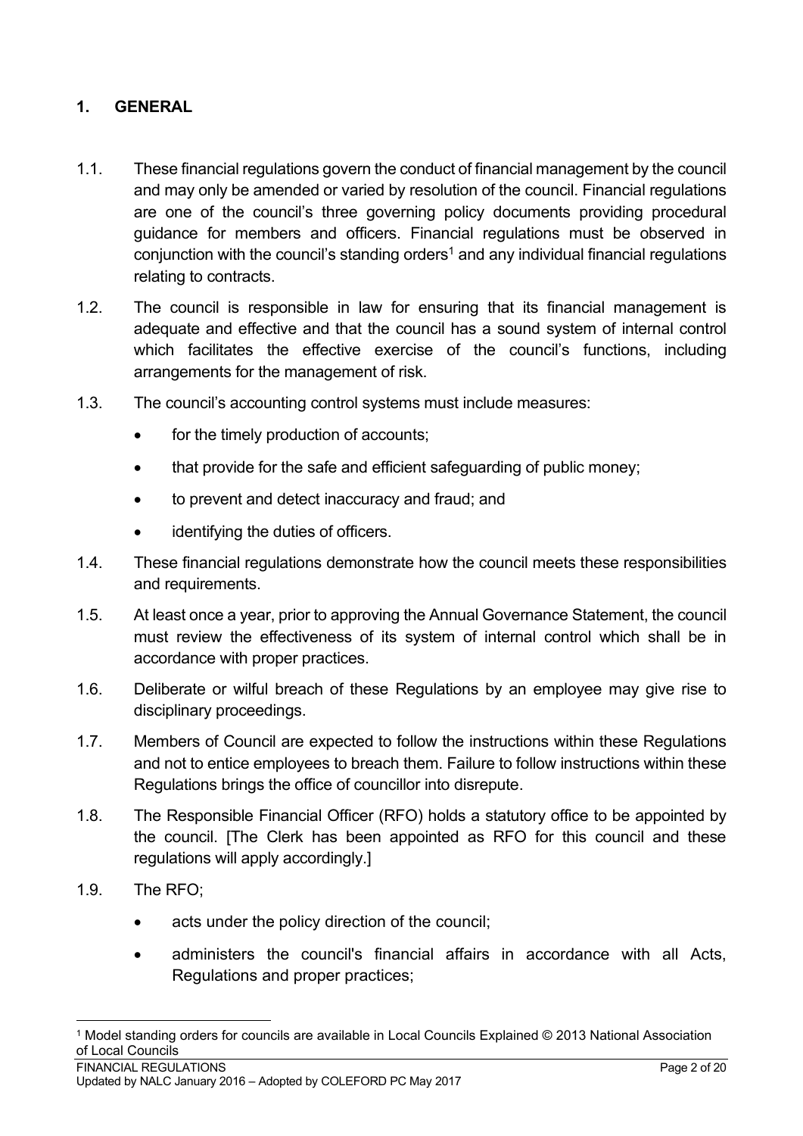## <span id="page-1-0"></span>**1. GENERAL**

- 1.1. These financial regulations govern the conduct of financial management by the council and may only be amended or varied by resolution of the council. Financial regulations are one of the council's three governing policy documents providing procedural guidance for members and officers. Financial regulations must be observed in conjunction with the council's standing orders<sup>1</sup> and any individual financial regulations relating to contracts.
- 1.2. The council is responsible in law for ensuring that its financial management is adequate and effective and that the council has a sound system of internal control which facilitates the effective exercise of the council's functions, including arrangements for the management of risk.
- 1.3. The council's accounting control systems must include measures:
	- for the timely production of accounts;
	- that provide for the safe and efficient safeguarding of public money:
	- to prevent and detect inaccuracy and fraud; and
	- identifying the duties of officers.
- 1.4. These financial regulations demonstrate how the council meets these responsibilities and requirements.
- 1.5. At least once a year, prior to approving the Annual Governance Statement, the council must review the effectiveness of its system of internal control which shall be in accordance with proper practices.
- 1.6. Deliberate or wilful breach of these Regulations by an employee may give rise to disciplinary proceedings.
- 1.7. Members of Council are expected to follow the instructions within these Regulations and not to entice employees to breach them. Failure to follow instructions within these Regulations brings the office of councillor into disrepute.
- 1.8. The Responsible Financial Officer (RFO) holds a statutory office to be appointed by the council. [The Clerk has been appointed as RFO for this council and these regulations will apply accordingly.]
- 1.9. The RFO;
	- acts under the policy direction of the council;
	- administers the council's financial affairs in accordance with all Acts, Regulations and proper practices;

<sup>1</sup> Model standing orders for councils are available in Local Councils Explained © 2013 National Association of Local Councils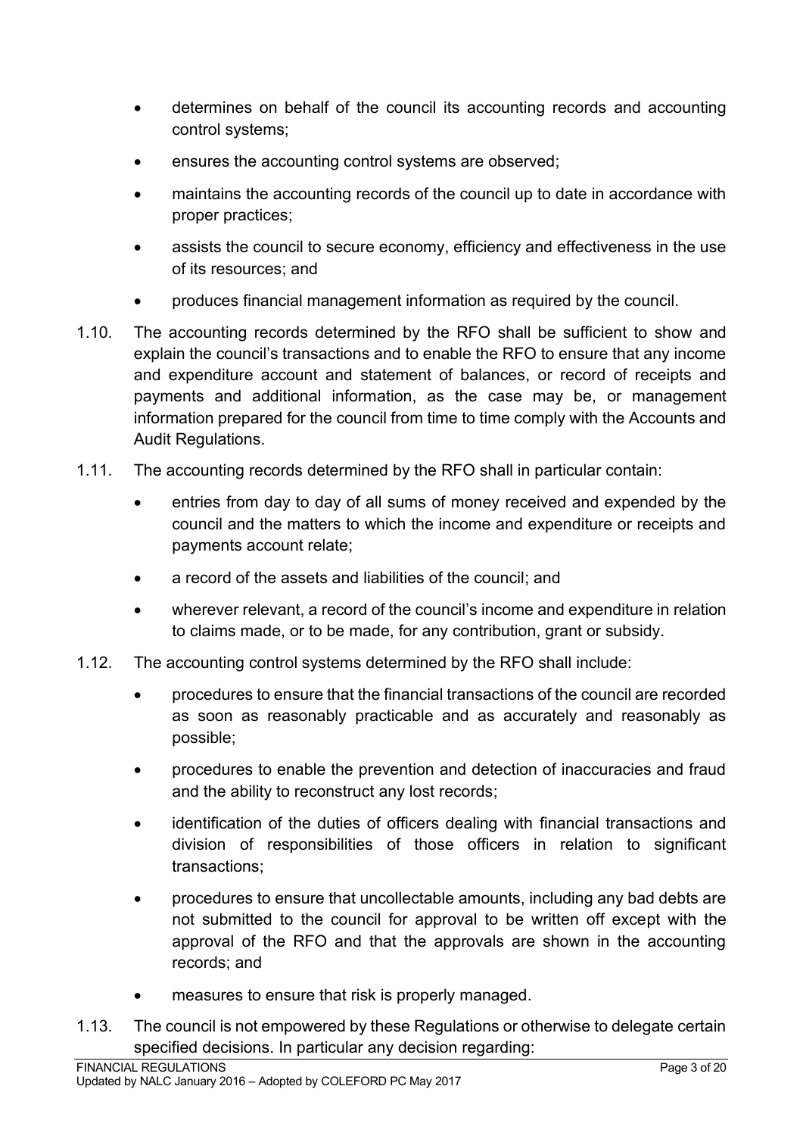- determines on behalf of the council its accounting records and accounting control systems;
- ensures the accounting control systems are observed;
- maintains the accounting records of the council up to date in accordance with proper practices;
- assists the council to secure economy, efficiency and effectiveness in the use of its resources; and
- produces financial management information as required by the council.
- 1.10. The accounting records determined by the RFO shall be sufficient to show and explain the council's transactions and to enable the RFO to ensure that any income and expenditure account and statement of balances, or record of receipts and payments and additional information, as the case may be, or management information prepared for the council from time to time comply with the Accounts and Audit Regulations.
- 1.11. The accounting records determined by the RFO shall in particular contain:
	- entries from day to day of all sums of money received and expended by the council and the matters to which the income and expenditure or receipts and payments account relate;
	- a record of the assets and liabilities of the council; and
	- wherever relevant, a record of the council's income and expenditure in relation to claims made, or to be made, for any contribution, grant or subsidy.
- 1.12. The accounting control systems determined by the RFO shall include:
	- procedures to ensure that the financial transactions of the council are recorded as soon as reasonably practicable and as accurately and reasonably as possible;
	- procedures to enable the prevention and detection of inaccuracies and fraud and the ability to reconstruct any lost records;
	- identification of the duties of officers dealing with financial transactions and division of responsibilities of those officers in relation to significant transactions;
	- procedures to ensure that uncollectable amounts, including any bad debts are not submitted to the council for approval to be written off except with the approval of the RFO and that the approvals are shown in the accounting records; and
	- measures to ensure that risk is properly managed.
- 1.13. The council is not empowered by these Regulations or otherwise to delegate certain specified decisions. In particular any decision regarding: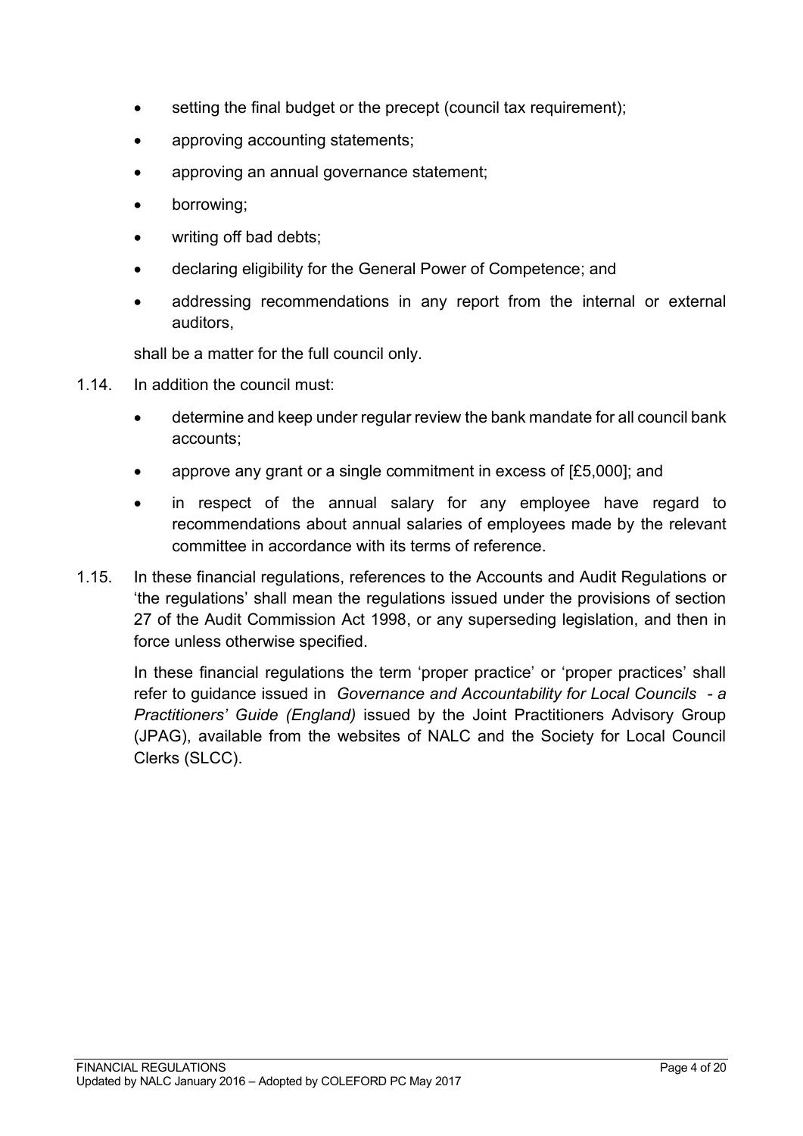- setting the final budget or the precept (council tax requirement);
- approving accounting statements;
- approving an annual governance statement;
- borrowing;
- writing off bad debts;
- declaring eligibility for the General Power of Competence; and
- addressing recommendations in any report from the internal or external auditors,

shall be a matter for the full council only.

- 1.14. In addition the council must:
	- determine and keep under regular review the bank mandate for all council bank accounts;
	- approve any grant or a single commitment in excess of [£5,000]; and
	- in respect of the annual salary for any employee have regard to recommendations about annual salaries of employees made by the relevant committee in accordance with its terms of reference.
- 1.15. In these financial regulations, references to the Accounts and Audit Regulations or 'the regulations' shall mean the regulations issued under the provisions of section 27 of the Audit Commission Act 1998, or any superseding legislation, and then in force unless otherwise specified.

<span id="page-3-0"></span>In these financial regulations the term 'proper practice' or 'proper practices' shall refer to guidance issued in *Governance and Accountability for Local Councils - a Practitioners' Guide (England)* issued by the Joint Practitioners Advisory Group (JPAG), available from the websites of NALC and the Society for Local Council Clerks (SLCC).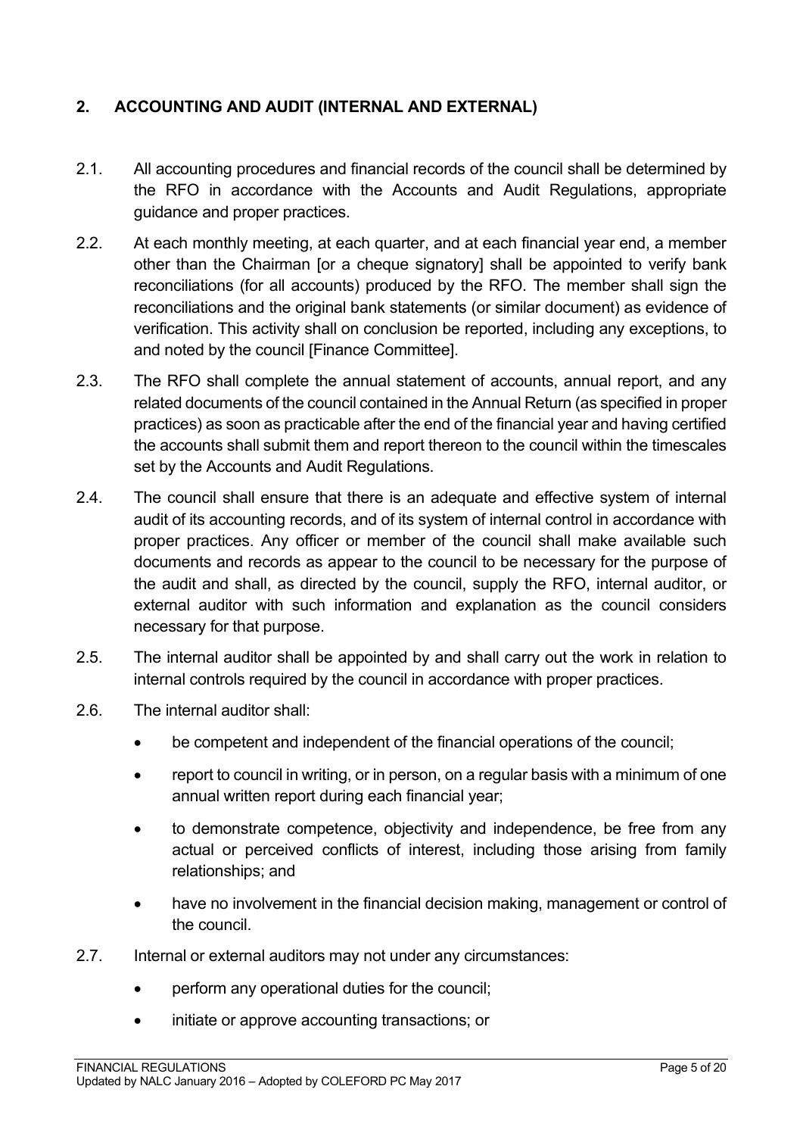# **2. ACCOUNTING AND AUDIT (INTERNAL AND EXTERNAL)**

- 2.1. All accounting procedures and financial records of the council shall be determined by the RFO in accordance with the Accounts and Audit Regulations, appropriate guidance and proper practices.
- 2.2. At each monthly meeting, at each quarter, and at each financial year end, a member other than the Chairman [or a cheque signatory] shall be appointed to verify bank reconciliations (for all accounts) produced by the RFO. The member shall sign the reconciliations and the original bank statements (or similar document) as evidence of verification. This activity shall on conclusion be reported, including any exceptions, to and noted by the council [Finance Committee].
- 2.3. The RFO shall complete the annual statement of accounts, annual report, and any related documents of the council contained in the Annual Return (as specified in proper practices) as soon as practicable after the end of the financial year and having certified the accounts shall submit them and report thereon to the council within the timescales set by the Accounts and Audit Regulations.
- 2.4. The council shall ensure that there is an adequate and effective system of internal audit of its accounting records, and of its system of internal control in accordance with proper practices. Any officer or member of the council shall make available such documents and records as appear to the council to be necessary for the purpose of the audit and shall, as directed by the council, supply the RFO, internal auditor, or external auditor with such information and explanation as the council considers necessary for that purpose.
- 2.5. The internal auditor shall be appointed by and shall carry out the work in relation to internal controls required by the council in accordance with proper practices.
- 2.6. The internal auditor shall:
	- be competent and independent of the financial operations of the council;
	- report to council in writing, or in person, on a regular basis with a minimum of one annual written report during each financial year;
	- to demonstrate competence, objectivity and independence, be free from any actual or perceived conflicts of interest, including those arising from family relationships; and
	- have no involvement in the financial decision making, management or control of the council.
- 2.7. Internal or external auditors may not under any circumstances:
	- perform any operational duties for the council:
	- initiate or approve accounting transactions; or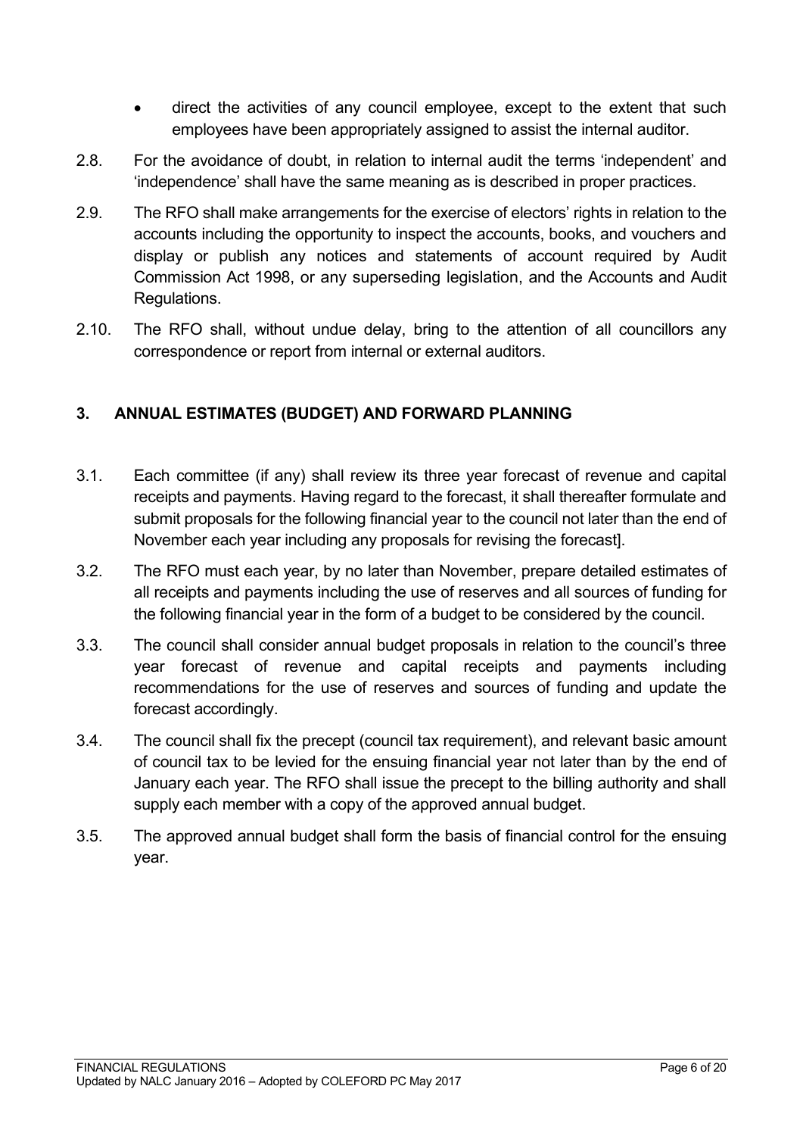- direct the activities of any council employee, except to the extent that such employees have been appropriately assigned to assist the internal auditor.
- 2.8. For the avoidance of doubt, in relation to internal audit the terms 'independent' and 'independence' shall have the same meaning as is described in proper practices.
- 2.9. The RFO shall make arrangements for the exercise of electors' rights in relation to the accounts including the opportunity to inspect the accounts, books, and vouchers and display or publish any notices and statements of account required by Audit Commission Act 1998, or any superseding legislation, and the Accounts and Audit Regulations.
- 2.10. The RFO shall, without undue delay, bring to the attention of all councillors any correspondence or report from internal or external auditors.

## <span id="page-5-0"></span>**3. ANNUAL ESTIMATES (BUDGET) AND FORWARD PLANNING**

- 3.1. Each committee (if any) shall review its three year forecast of revenue and capital receipts and payments. Having regard to the forecast, it shall thereafter formulate and submit proposals for the following financial year to the council not later than the end of November each year including any proposals for revising the forecast].
- 3.2. The RFO must each year, by no later than November, prepare detailed estimates of all receipts and payments including the use of reserves and all sources of funding for the following financial year in the form of a budget to be considered by the council.
- 3.3. The council shall consider annual budget proposals in relation to the council's three year forecast of revenue and capital receipts and payments including recommendations for the use of reserves and sources of funding and update the forecast accordingly.
- 3.4. The council shall fix the precept (council tax requirement), and relevant basic amount of council tax to be levied for the ensuing financial year not later than by the end of January each year. The RFO shall issue the precept to the billing authority and shall supply each member with a copy of the approved annual budget.
- <span id="page-5-1"></span>3.5. The approved annual budget shall form the basis of financial control for the ensuing year.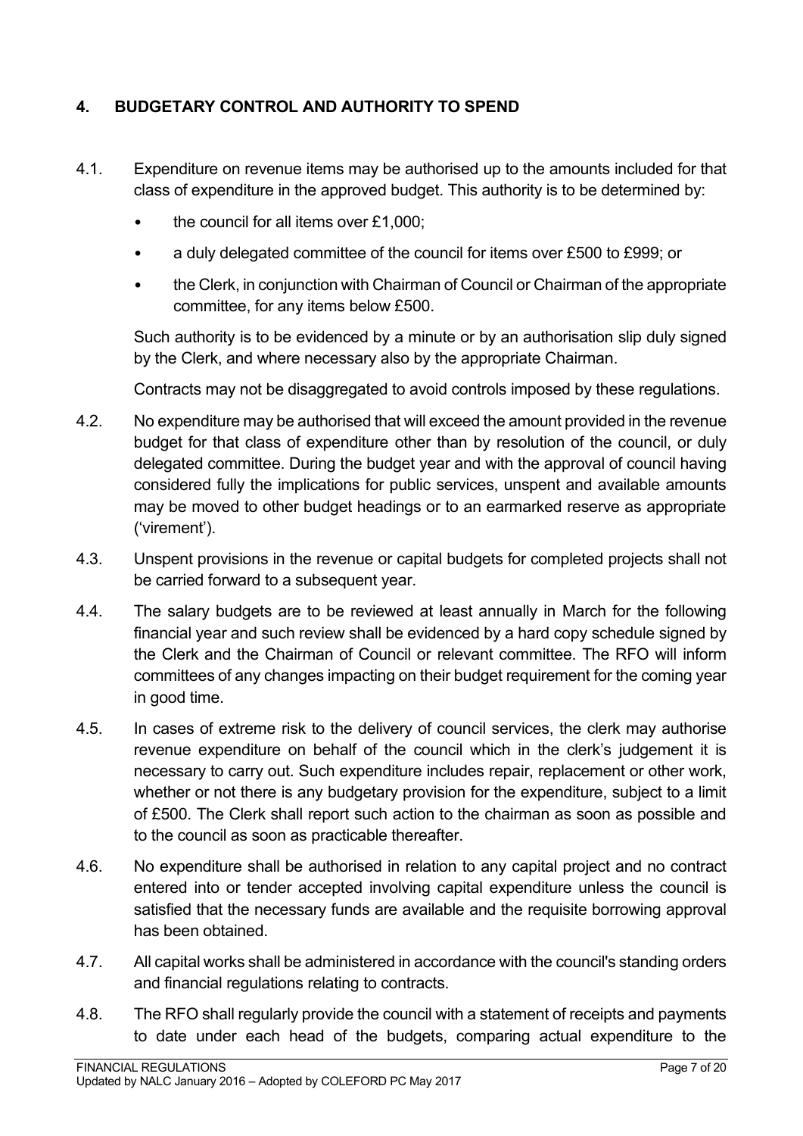# **4. BUDGETARY CONTROL AND AUTHORITY TO SPEND**

- 4.1. Expenditure on revenue items may be authorised up to the amounts included for that class of expenditure in the approved budget. This authority is to be determined by:
	- the council for all items over £1,000;
	- a duly delegated committee of the council for items over £500 to £999; or
	- the Clerk, in conjunction with Chairman of Council or Chairman of the appropriate committee, for any items below £500.

Such authority is to be evidenced by a minute or by an authorisation slip duly signed by the Clerk, and where necessary also by the appropriate Chairman.

Contracts may not be disaggregated to avoid controls imposed by these regulations.

- 4.2. No expenditure may be authorised that will exceed the amount provided in the revenue budget for that class of expenditure other than by resolution of the council, or duly delegated committee. During the budget year and with the approval of council having considered fully the implications for public services, unspent and available amounts may be moved to other budget headings or to an earmarked reserve as appropriate ('virement').
- 4.3. Unspent provisions in the revenue or capital budgets for completed projects shall not be carried forward to a subsequent year.
- 4.4. The salary budgets are to be reviewed at least annually in March for the following financial year and such review shall be evidenced by a hard copy schedule signed by the Clerk and the Chairman of Council or relevant committee. The RFO will inform committees of any changes impacting on their budget requirement for the coming year in good time.
- 4.5. In cases of extreme risk to the delivery of council services, the clerk may authorise revenue expenditure on behalf of the council which in the clerk's judgement it is necessary to carry out. Such expenditure includes repair, replacement or other work, whether or not there is any budgetary provision for the expenditure, subject to a limit of £500. The Clerk shall report such action to the chairman as soon as possible and to the council as soon as practicable thereafter.
- 4.6. No expenditure shall be authorised in relation to any capital project and no contract entered into or tender accepted involving capital expenditure unless the council is satisfied that the necessary funds are available and the requisite borrowing approval has been obtained.
- 4.7. All capital works shall be administered in accordance with the council's standing orders and financial regulations relating to contracts.
- 4.8. The RFO shall regularly provide the council with a statement of receipts and payments to date under each head of the budgets, comparing actual expenditure to the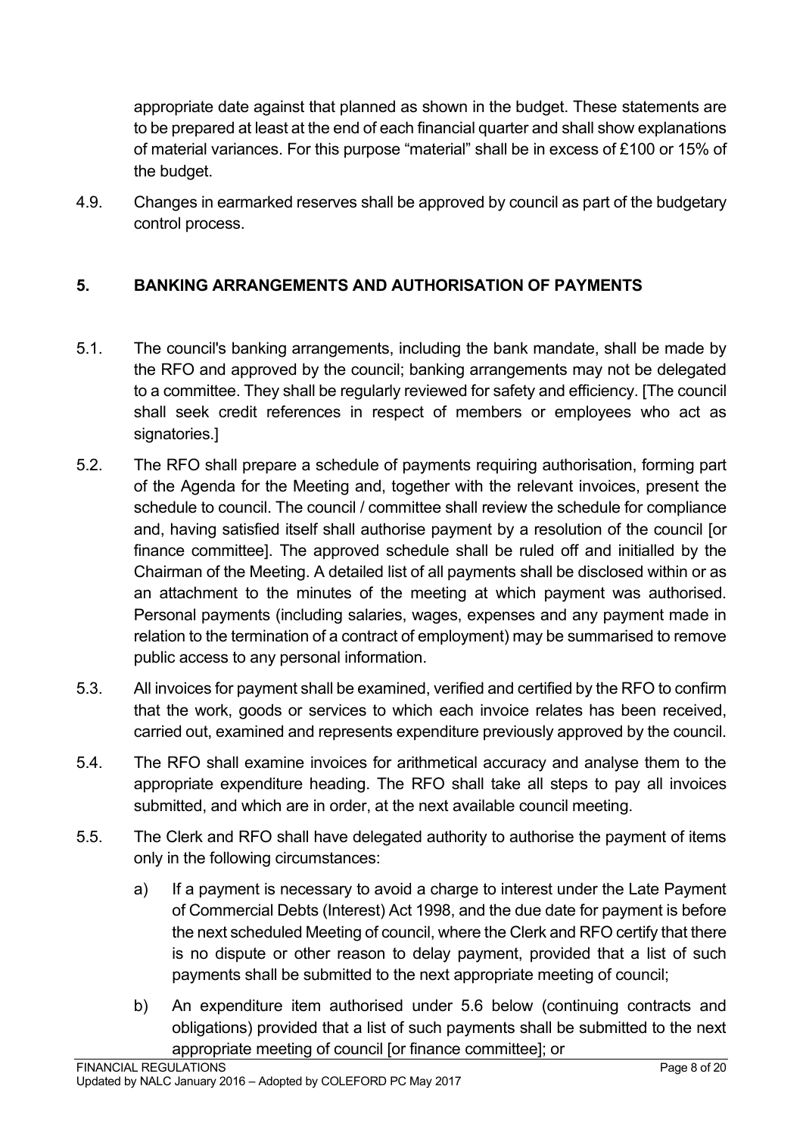appropriate date against that planned as shown in the budget. These statements are to be prepared at least at the end of each financial quarter and shall show explanations of material variances. For this purpose "material" shall be in excess of £100 or 15% of the budget.

4.9. Changes in earmarked reserves shall be approved by council as part of the budgetary control process.

# <span id="page-7-0"></span>**5. BANKING ARRANGEMENTS AND AUTHORISATION OF PAYMENTS**

- 5.1. The council's banking arrangements, including the bank mandate, shall be made by the RFO and approved by the council; banking arrangements may not be delegated to a committee. They shall be regularly reviewed for safety and efficiency. [The council shall seek credit references in respect of members or employees who act as signatories.]
- 5.2. The RFO shall prepare a schedule of payments requiring authorisation, forming part of the Agenda for the Meeting and, together with the relevant invoices, present the schedule to council. The council / committee shall review the schedule for compliance and, having satisfied itself shall authorise payment by a resolution of the council [or finance committee]. The approved schedule shall be ruled off and initialled by the Chairman of the Meeting. A detailed list of all payments shall be disclosed within or as an attachment to the minutes of the meeting at which payment was authorised. Personal payments (including salaries, wages, expenses and any payment made in relation to the termination of a contract of employment) may be summarised to remove public access to any personal information.
- 5.3. All invoices for payment shall be examined, verified and certified by the RFO to confirm that the work, goods or services to which each invoice relates has been received, carried out, examined and represents expenditure previously approved by the council.
- 5.4. The RFO shall examine invoices for arithmetical accuracy and analyse them to the appropriate expenditure heading. The RFO shall take all steps to pay all invoices submitted, and which are in order, at the next available council meeting.
- 5.5. The Clerk and RFO shall have delegated authority to authorise the payment of items only in the following circumstances:
	- a) If a payment is necessary to avoid a charge to interest under the Late Payment of Commercial Debts (Interest) Act 1998, and the due date for payment is before the next scheduled Meeting of council, where the Clerk and RFO certify that there is no dispute or other reason to delay payment, provided that a list of such payments shall be submitted to the next appropriate meeting of council;
	- b) An expenditure item authorised under 5.6 below (continuing contracts and obligations) provided that a list of such payments shall be submitted to the next appropriate meeting of council [or finance committee]; or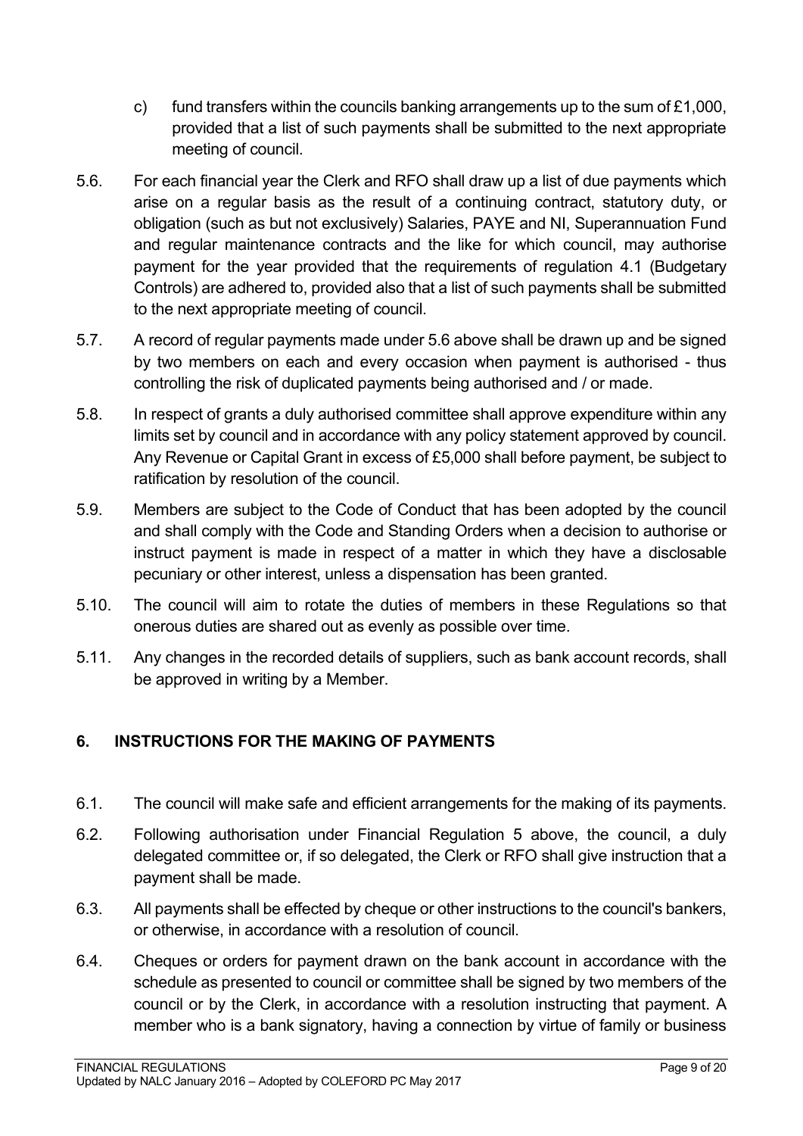- c) fund transfers within the councils banking arrangements up to the sum of  $£1,000$ , provided that a list of such payments shall be submitted to the next appropriate meeting of council.
- 5.6. For each financial year the Clerk and RFO shall draw up a list of due payments which arise on a regular basis as the result of a continuing contract, statutory duty, or obligation (such as but not exclusively) Salaries, PAYE and NI, Superannuation Fund and regular maintenance contracts and the like for which council, may authorise payment for the year provided that the requirements of regulation 4.1 (Budgetary Controls) are adhered to, provided also that a list of such payments shall be submitted to the next appropriate meeting of council.
- 5.7. A record of regular payments made under 5.6 above shall be drawn up and be signed by two members on each and every occasion when payment is authorised - thus controlling the risk of duplicated payments being authorised and / or made.
- 5.8. In respect of grants a duly authorised committee shall approve expenditure within any limits set by council and in accordance with any policy statement approved by council. Any Revenue or Capital Grant in excess of £5,000 shall before payment, be subject to ratification by resolution of the council.
- 5.9. Members are subject to the Code of Conduct that has been adopted by the council and shall comply with the Code and Standing Orders when a decision to authorise or instruct payment is made in respect of a matter in which they have a disclosable pecuniary or other interest, unless a dispensation has been granted.
- 5.10. The council will aim to rotate the duties of members in these Regulations so that onerous duties are shared out as evenly as possible over time.
- 5.11. Any changes in the recorded details of suppliers, such as bank account records, shall be approved in writing by a Member.

# <span id="page-8-0"></span>**6. INSTRUCTIONS FOR THE MAKING OF PAYMENTS**

- 6.1. The council will make safe and efficient arrangements for the making of its payments.
- 6.2. Following authorisation under Financial Regulation 5 above, the council, a duly delegated committee or, if so delegated, the Clerk or RFO shall give instruction that a payment shall be made.
- 6.3. All payments shall be effected by cheque or other instructions to the council's bankers, or otherwise, in accordance with a resolution of council.
- 6.4. Cheques or orders for payment drawn on the bank account in accordance with the schedule as presented to council or committee shall be signed by two members of the council or by the Clerk, in accordance with a resolution instructing that payment. A member who is a bank signatory, having a connection by virtue of family or business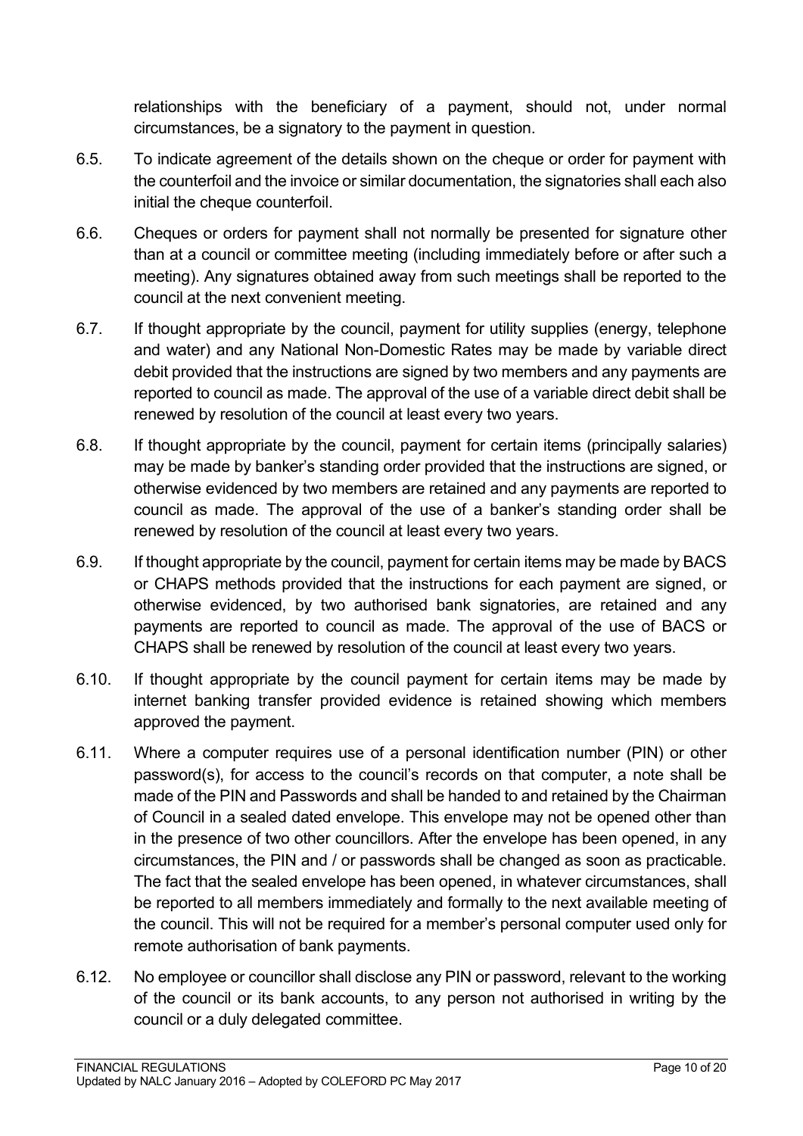relationships with the beneficiary of a payment, should not, under normal circumstances, be a signatory to the payment in question.

- 6.5. To indicate agreement of the details shown on the cheque or order for payment with the counterfoil and the invoice or similar documentation, the signatories shall each also initial the cheque counterfoil.
- 6.6. Cheques or orders for payment shall not normally be presented for signature other than at a council or committee meeting (including immediately before or after such a meeting). Any signatures obtained away from such meetings shall be reported to the council at the next convenient meeting.
- 6.7. If thought appropriate by the council, payment for utility supplies (energy, telephone and water) and any National Non-Domestic Rates may be made by variable direct debit provided that the instructions are signed by two members and any payments are reported to council as made. The approval of the use of a variable direct debit shall be renewed by resolution of the council at least every two years.
- 6.8. If thought appropriate by the council, payment for certain items (principally salaries) may be made by banker's standing order provided that the instructions are signed, or otherwise evidenced by two members are retained and any payments are reported to council as made. The approval of the use of a banker's standing order shall be renewed by resolution of the council at least every two years.
- 6.9. If thought appropriate by the council, payment for certain items may be made by BACS or CHAPS methods provided that the instructions for each payment are signed, or otherwise evidenced, by two authorised bank signatories, are retained and any payments are reported to council as made. The approval of the use of BACS or CHAPS shall be renewed by resolution of the council at least every two years.
- 6.10. If thought appropriate by the council payment for certain items may be made by internet banking transfer provided evidence is retained showing which members approved the payment.
- 6.11. Where a computer requires use of a personal identification number (PIN) or other password(s), for access to the council's records on that computer, a note shall be made of the PIN and Passwords and shall be handed to and retained by the Chairman of Council in a sealed dated envelope. This envelope may not be opened other than in the presence of two other councillors. After the envelope has been opened, in any circumstances, the PIN and / or passwords shall be changed as soon as practicable. The fact that the sealed envelope has been opened, in whatever circumstances, shall be reported to all members immediately and formally to the next available meeting of the council. This will not be required for a member's personal computer used only for remote authorisation of bank payments.
- 6.12. No employee or councillor shall disclose any PIN or password, relevant to the working of the council or its bank accounts, to any person not authorised in writing by the council or a duly delegated committee.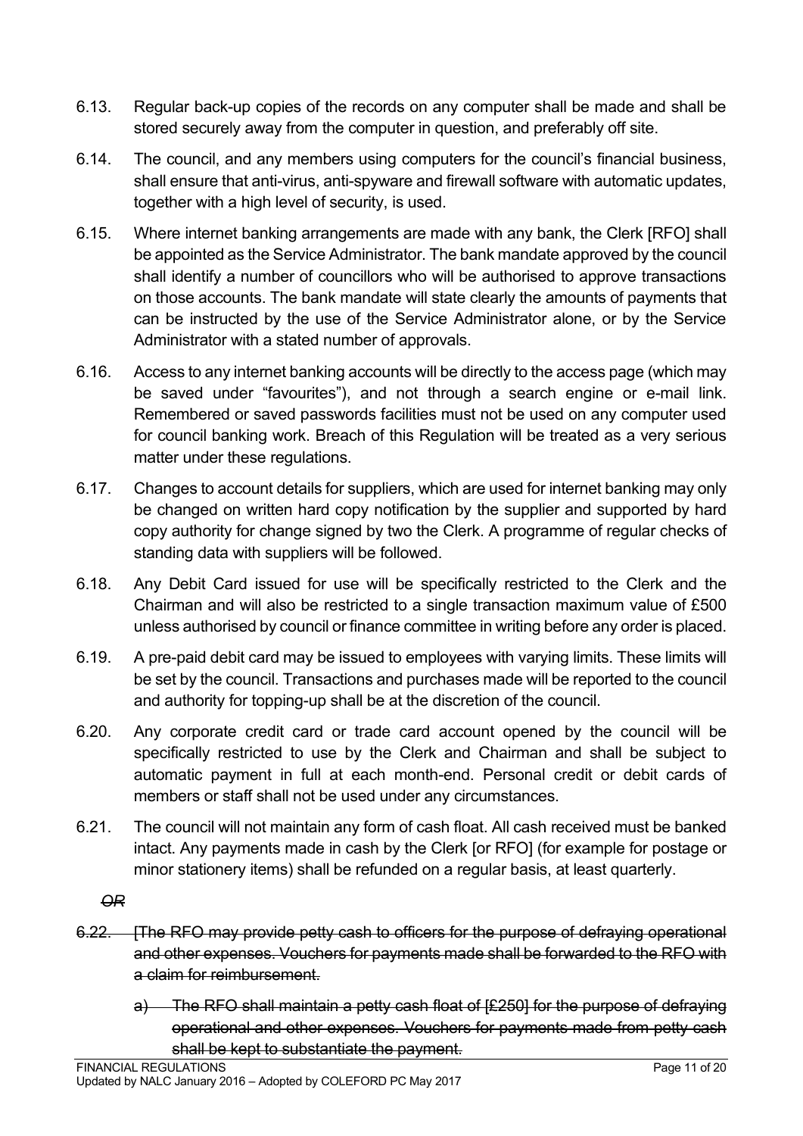- 6.13. Regular back-up copies of the records on any computer shall be made and shall be stored securely away from the computer in question, and preferably off site.
- 6.14. The council, and any members using computers for the council's financial business, shall ensure that anti-virus, anti-spyware and firewall software with automatic updates, together with a high level of security, is used.
- 6.15. Where internet banking arrangements are made with any bank, the Clerk [RFO] shall be appointed as the Service Administrator. The bank mandate approved by the council shall identify a number of councillors who will be authorised to approve transactions on those accounts. The bank mandate will state clearly the amounts of payments that can be instructed by the use of the Service Administrator alone, or by the Service Administrator with a stated number of approvals.
- 6.16. Access to any internet banking accounts will be directly to the access page (which may be saved under "favourites"), and not through a search engine or e-mail link. Remembered or saved passwords facilities must not be used on any computer used for council banking work. Breach of this Regulation will be treated as a very serious matter under these regulations.
- 6.17. Changes to account details for suppliers, which are used for internet banking may only be changed on written hard copy notification by the supplier and supported by hard copy authority for change signed by two the Clerk. A programme of regular checks of standing data with suppliers will be followed.
- 6.18. Any Debit Card issued for use will be specifically restricted to the Clerk and the Chairman and will also be restricted to a single transaction maximum value of £500 unless authorised by council or finance committee in writing before any order is placed.
- 6.19. A pre-paid debit card may be issued to employees with varying limits. These limits will be set by the council. Transactions and purchases made will be reported to the council and authority for topping-up shall be at the discretion of the council.
- 6.20. Any corporate credit card or trade card account opened by the council will be specifically restricted to use by the Clerk and Chairman and shall be subject to automatic payment in full at each month-end. Personal credit or debit cards of members or staff shall not be used under any circumstances.
- 6.21. The council will not maintain any form of cash float. All cash received must be banked intact. Any payments made in cash by the Clerk [or RFO] (for example for postage or minor stationery items) shall be refunded on a regular basis, at least quarterly.

*OR* 

- 6.22. [The RFO may provide petty cash to officers for the purpose of defraying operational and other expenses. Vouchers for payments made shall be forwarded to the RFO with a claim for reimbursement.
	- a) The RFO shall maintain a petty cash float of [£250] for the purpose of defraying operational and other expenses. Vouchers for payments made from petty cash shall be kept to substantiate the payment.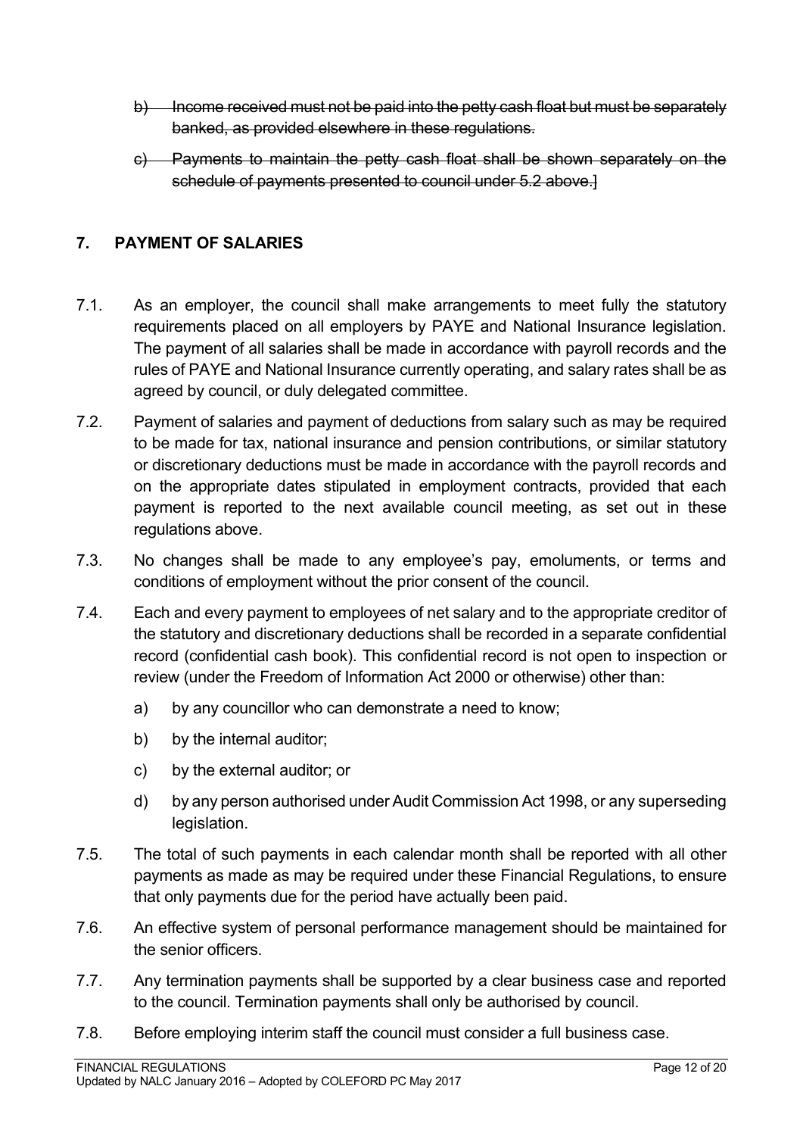- b) Income received must not be paid into the petty cash float but must be separately banked, as provided elsewhere in these regulations.
- c) Payments to maintain the petty cash float shall be shown separately on the schedule of payments presented to council under 5.2 above.]

# <span id="page-11-0"></span>**7. PAYMENT OF SALARIES**

- 7.1. As an employer, the council shall make arrangements to meet fully the statutory requirements placed on all employers by PAYE and National Insurance legislation. The payment of all salaries shall be made in accordance with payroll records and the rules of PAYE and National Insurance currently operating, and salary rates shall be as agreed by council, or duly delegated committee.
- 7.2. Payment of salaries and payment of deductions from salary such as may be required to be made for tax, national insurance and pension contributions, or similar statutory or discretionary deductions must be made in accordance with the payroll records and on the appropriate dates stipulated in employment contracts, provided that each payment is reported to the next available council meeting, as set out in these regulations above.
- 7.3. No changes shall be made to any employee's pay, emoluments, or terms and conditions of employment without the prior consent of the council.
- 7.4. Each and every payment to employees of net salary and to the appropriate creditor of the statutory and discretionary deductions shall be recorded in a separate confidential record (confidential cash book). This confidential record is not open to inspection or review (under the Freedom of Information Act 2000 or otherwise) other than:
	- a) by any councillor who can demonstrate a need to know;
	- b) by the internal auditor;
	- c) by the external auditor; or
	- d) by any person authorised under Audit Commission Act 1998, or any superseding legislation.
- 7.5. The total of such payments in each calendar month shall be reported with all other payments as made as may be required under these Financial Regulations, to ensure that only payments due for the period have actually been paid.
- 7.6. An effective system of personal performance management should be maintained for the senior officers.
- 7.7. Any termination payments shall be supported by a clear business case and reported to the council. Termination payments shall only be authorised by council.
- 7.8. Before employing interim staff the council must consider a full business case.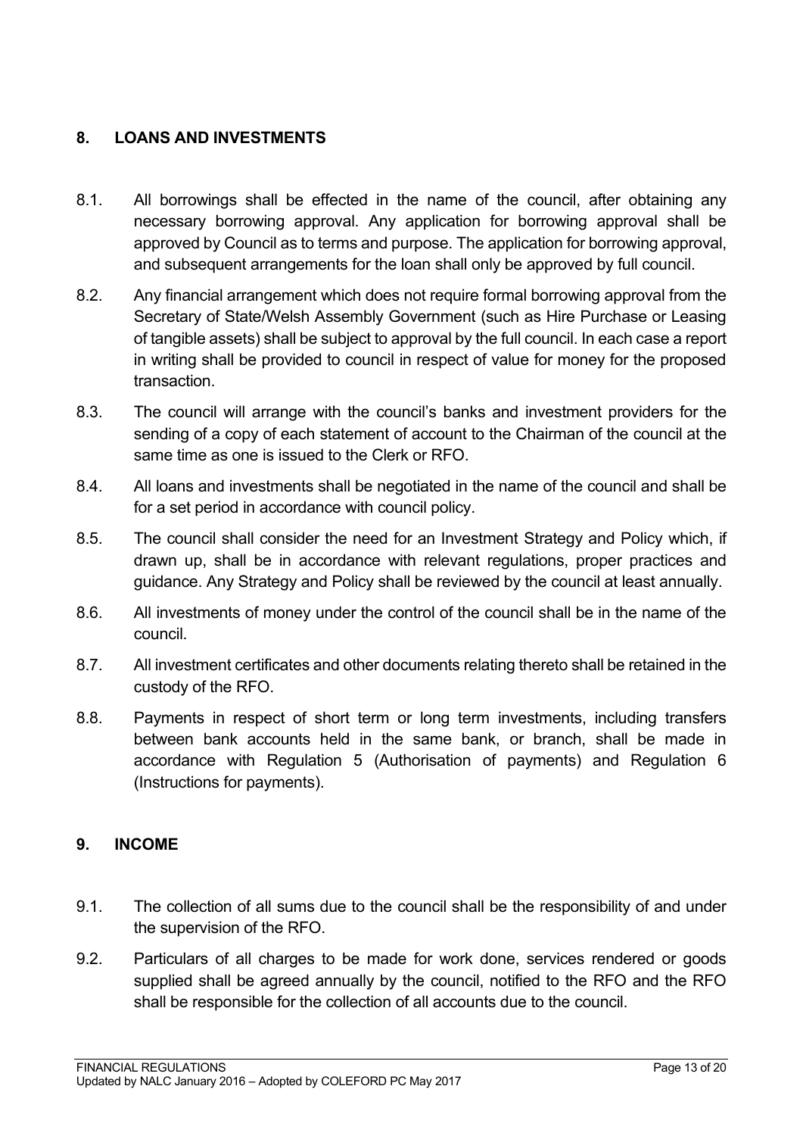# <span id="page-12-0"></span>**8. LOANS AND INVESTMENTS**

- 8.1. All borrowings shall be effected in the name of the council, after obtaining any necessary borrowing approval. Any application for borrowing approval shall be approved by Council as to terms and purpose. The application for borrowing approval, and subsequent arrangements for the loan shall only be approved by full council.
- 8.2. Any financial arrangement which does not require formal borrowing approval from the Secretary of State/Welsh Assembly Government (such as Hire Purchase or Leasing of tangible assets) shall be subject to approval by the full council. In each case a report in writing shall be provided to council in respect of value for money for the proposed transaction.
- 8.3. The council will arrange with the council's banks and investment providers for the sending of a copy of each statement of account to the Chairman of the council at the same time as one is issued to the Clerk or RFO.
- 8.4. All loans and investments shall be negotiated in the name of the council and shall be for a set period in accordance with council policy.
- 8.5. The council shall consider the need for an Investment Strategy and Policy which, if drawn up, shall be in accordance with relevant regulations, proper practices and guidance. Any Strategy and Policy shall be reviewed by the council at least annually.
- 8.6. All investments of money under the control of the council shall be in the name of the council.
- 8.7. All investment certificates and other documents relating thereto shall be retained in the custody of the RFO.
- 8.8. Payments in respect of short term or long term investments, including transfers between bank accounts held in the same bank, or branch, shall be made in accordance with Regulation 5 (Authorisation of payments) and Regulation 6 (Instructions for payments).

#### <span id="page-12-1"></span>**9. INCOME**

- 9.1. The collection of all sums due to the council shall be the responsibility of and under the supervision of the RFO.
- 9.2. Particulars of all charges to be made for work done, services rendered or goods supplied shall be agreed annually by the council, notified to the RFO and the RFO shall be responsible for the collection of all accounts due to the council.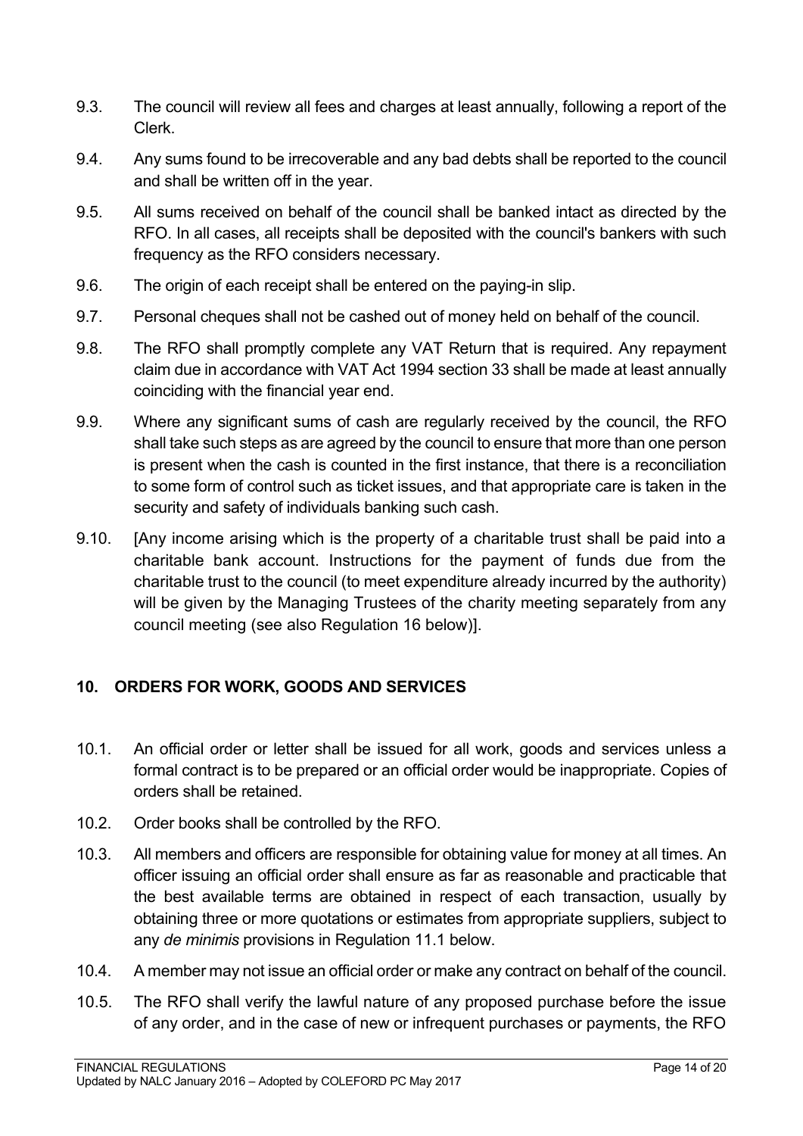- 9.3. The council will review all fees and charges at least annually, following a report of the Clerk.
- 9.4. Any sums found to be irrecoverable and any bad debts shall be reported to the council and shall be written off in the year.
- 9.5. All sums received on behalf of the council shall be banked intact as directed by the RFO. In all cases, all receipts shall be deposited with the council's bankers with such frequency as the RFO considers necessary.
- 9.6. The origin of each receipt shall be entered on the paying-in slip.
- 9.7. Personal cheques shall not be cashed out of money held on behalf of the council.
- 9.8. The RFO shall promptly complete any VAT Return that is required. Any repayment claim due in accordance with VAT Act 1994 section 33 shall be made at least annually coinciding with the financial year end.
- 9.9. Where any significant sums of cash are regularly received by the council, the RFO shall take such steps as are agreed by the council to ensure that more than one person is present when the cash is counted in the first instance, that there is a reconciliation to some form of control such as ticket issues, and that appropriate care is taken in the security and safety of individuals banking such cash.
- 9.10. [Any income arising which is the property of a charitable trust shall be paid into a charitable bank account. Instructions for the payment of funds due from the charitable trust to the council (to meet expenditure already incurred by the authority) will be given by the Managing Trustees of the charity meeting separately from any council meeting (see also Regulation 16 below)].

# <span id="page-13-0"></span>**10. ORDERS FOR WORK, GOODS AND SERVICES**

- 10.1. An official order or letter shall be issued for all work, goods and services unless a formal contract is to be prepared or an official order would be inappropriate. Copies of orders shall be retained.
- 10.2. Order books shall be controlled by the RFO.
- 10.3. All members and officers are responsible for obtaining value for money at all times. An officer issuing an official order shall ensure as far as reasonable and practicable that the best available terms are obtained in respect of each transaction, usually by obtaining three or more quotations or estimates from appropriate suppliers, subject to any *de minimis* provisions in Regulation 11.1 below.
- 10.4. A member may not issue an official order or make any contract on behalf of the council.
- 10.5. The RFO shall verify the lawful nature of any proposed purchase before the issue of any order, and in the case of new or infrequent purchases or payments, the RFO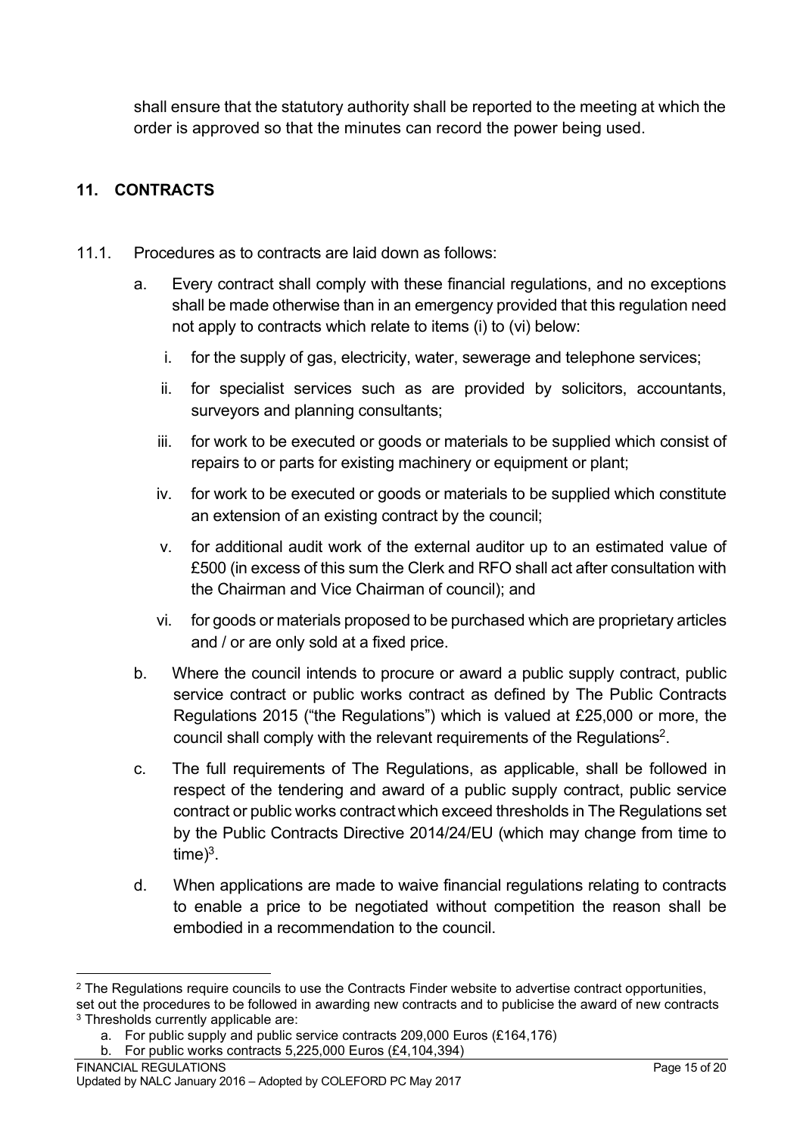shall ensure that the statutory authority shall be reported to the meeting at which the order is approved so that the minutes can record the power being used.

# <span id="page-14-0"></span>**11. CONTRACTS**

- 11.1. Procedures as to contracts are laid down as follows:
	- a. Every contract shall comply with these financial regulations, and no exceptions shall be made otherwise than in an emergency provided that this regulation need not apply to contracts which relate to items (i) to (vi) below:
		- i. for the supply of gas, electricity, water, sewerage and telephone services;
		- ii. for specialist services such as are provided by solicitors, accountants, surveyors and planning consultants;
		- iii. for work to be executed or goods or materials to be supplied which consist of repairs to or parts for existing machinery or equipment or plant;
		- iv. for work to be executed or goods or materials to be supplied which constitute an extension of an existing contract by the council;
		- v. for additional audit work of the external auditor up to an estimated value of £500 (in excess of this sum the Clerk and RFO shall act after consultation with the Chairman and Vice Chairman of council); and
		- vi. for goods or materials proposed to be purchased which are proprietary articles and / or are only sold at a fixed price.
	- b. Where the council intends to procure or award a public supply contract, public service contract or public works contract as defined by The Public Contracts Regulations 2015 ("the Regulations") which is valued at £25,000 or more, the council shall comply with the relevant requirements of the Regulations<sup>2</sup>.
	- c. The full requirements of The Regulations, as applicable, shall be followed in respect of the tendering and award of a public supply contract, public service contract or public works contractwhich exceed thresholds in The Regulations set by the Public Contracts Directive 2014/24/EU (which may change from time to  $time)^3$ .
	- d. When applications are made to waive financial regulations relating to contracts to enable a price to be negotiated without competition the reason shall be embodied in a recommendation to the council.

<sup>&</sup>lt;sup>2</sup> The Regulations require councils to use the Contracts Finder website to advertise contract opportunities, set out the procedures to be followed in awarding new contracts and to publicise the award of new contracts <sup>3</sup> Thresholds currently applicable are:

a. For public supply and public service contracts 209,000 Euros (£164,176)

b. For public works contracts 5,225,000 Euros (£4,104,394)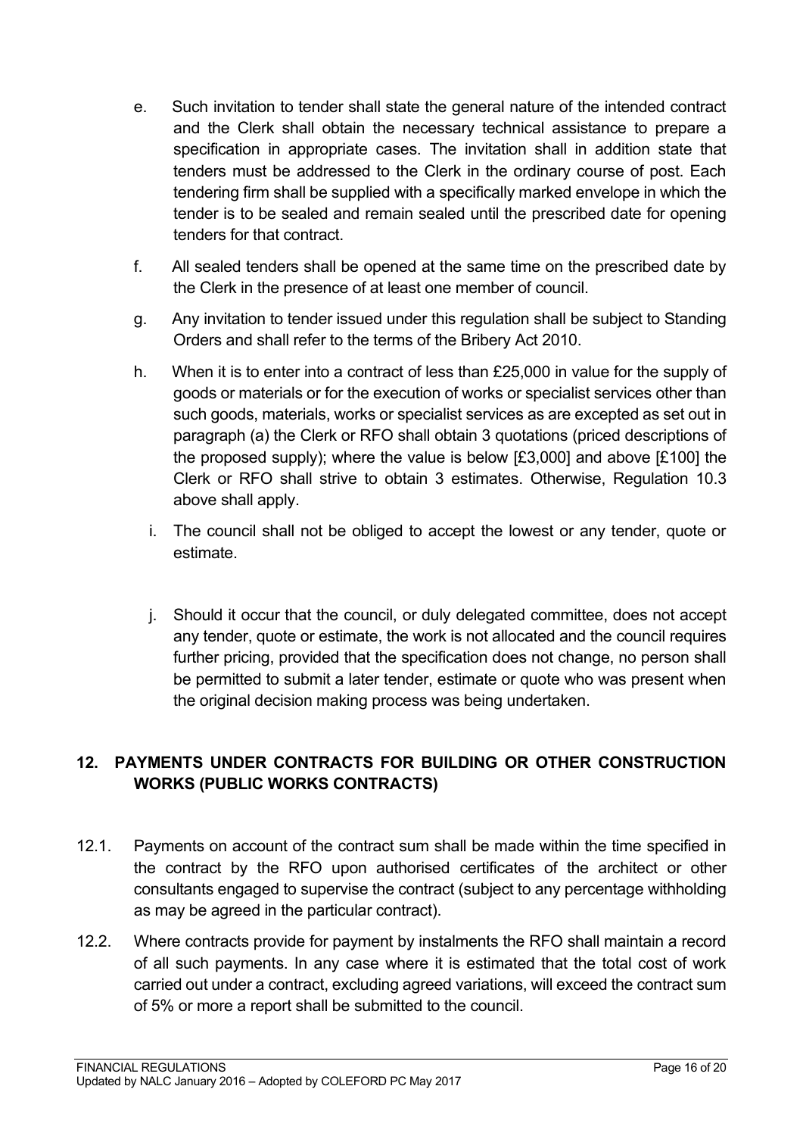- e. Such invitation to tender shall state the general nature of the intended contract and the Clerk shall obtain the necessary technical assistance to prepare a specification in appropriate cases. The invitation shall in addition state that tenders must be addressed to the Clerk in the ordinary course of post. Each tendering firm shall be supplied with a specifically marked envelope in which the tender is to be sealed and remain sealed until the prescribed date for opening tenders for that contract.
- f. All sealed tenders shall be opened at the same time on the prescribed date by the Clerk in the presence of at least one member of council.
- g. Any invitation to tender issued under this regulation shall be subject to Standing Orders and shall refer to the terms of the Bribery Act 2010.
- h. When it is to enter into a contract of less than £25,000 in value for the supply of goods or materials or for the execution of works or specialist services other than such goods, materials, works or specialist services as are excepted as set out in paragraph (a) the Clerk or RFO shall obtain 3 quotations (priced descriptions of the proposed supply); where the value is below [£3,000] and above [£100] the Clerk or RFO shall strive to obtain 3 estimates. Otherwise, Regulation 10.3 above shall apply.
	- i. The council shall not be obliged to accept the lowest or any tender, quote or estimate.
	- j. Should it occur that the council, or duly delegated committee, does not accept any tender, quote or estimate, the work is not allocated and the council requires further pricing, provided that the specification does not change, no person shall be permitted to submit a later tender, estimate or quote who was present when the original decision making process was being undertaken.

# <span id="page-15-0"></span>**12. PAYMENTS UNDER CONTRACTS FOR BUILDING OR OTHER CONSTRUCTION WORKS (PUBLIC WORKS CONTRACTS)**

- 12.1. Payments on account of the contract sum shall be made within the time specified in the contract by the RFO upon authorised certificates of the architect or other consultants engaged to supervise the contract (subject to any percentage withholding as may be agreed in the particular contract).
- 12.2. Where contracts provide for payment by instalments the RFO shall maintain a record of all such payments. In any case where it is estimated that the total cost of work carried out under a contract, excluding agreed variations, will exceed the contract sum of 5% or more a report shall be submitted to the council.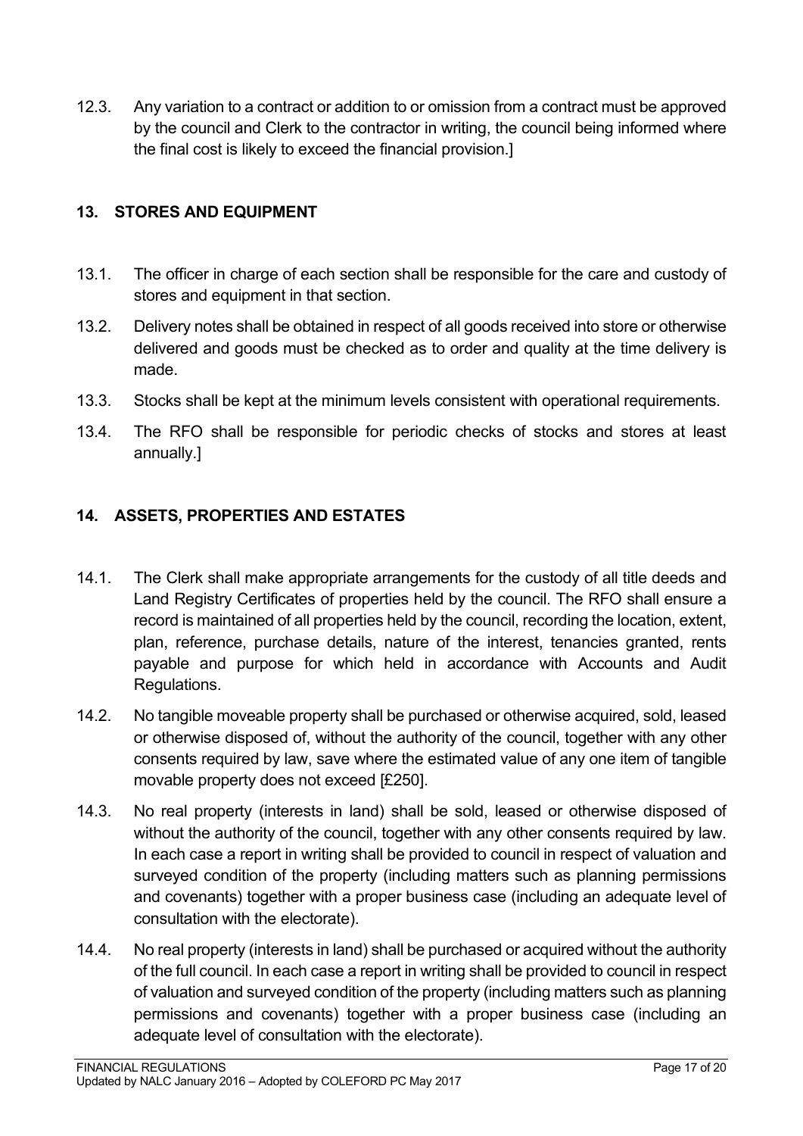12.3. Any variation to a contract or addition to or omission from a contract must be approved by the council and Clerk to the contractor in writing, the council being informed where the final cost is likely to exceed the financial provision.]

# <span id="page-16-0"></span>**13. STORES AND EQUIPMENT**

- 13.1. The officer in charge of each section shall be responsible for the care and custody of stores and equipment in that section.
- 13.2. Delivery notes shall be obtained in respect of all goods received into store or otherwise delivered and goods must be checked as to order and quality at the time delivery is made.
- 13.3. Stocks shall be kept at the minimum levels consistent with operational requirements.
- 13.4. The RFO shall be responsible for periodic checks of stocks and stores at least annually.]

## <span id="page-16-1"></span>**14. ASSETS, PROPERTIES AND ESTATES**

- 14.1. The Clerk shall make appropriate arrangements for the custody of all title deeds and Land Registry Certificates of properties held by the council. The RFO shall ensure a record is maintained of all properties held by the council, recording the location, extent, plan, reference, purchase details, nature of the interest, tenancies granted, rents payable and purpose for which held in accordance with Accounts and Audit Regulations.
- 14.2. No tangible moveable property shall be purchased or otherwise acquired, sold, leased or otherwise disposed of, without the authority of the council, together with any other consents required by law, save where the estimated value of any one item of tangible movable property does not exceed [£250].
- 14.3. No real property (interests in land) shall be sold, leased or otherwise disposed of without the authority of the council, together with any other consents required by law. In each case a report in writing shall be provided to council in respect of valuation and surveyed condition of the property (including matters such as planning permissions and covenants) together with a proper business case (including an adequate level of consultation with the electorate).
- 14.4. No real property (interests in land) shall be purchased or acquired without the authority of the full council. In each case a report in writing shall be provided to council in respect of valuation and surveyed condition of the property (including matters such as planning permissions and covenants) together with a proper business case (including an adequate level of consultation with the electorate).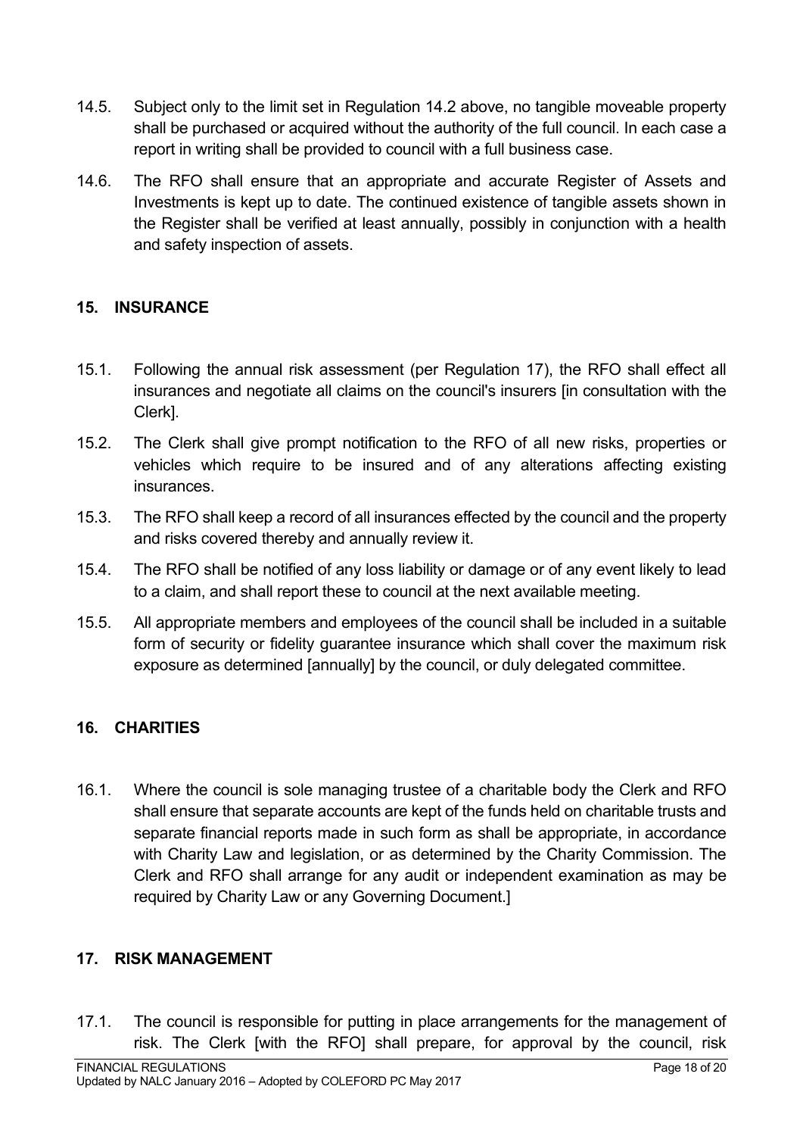- 14.5. Subject only to the limit set in Regulation 14.2 above, no tangible moveable property shall be purchased or acquired without the authority of the full council. In each case a report in writing shall be provided to council with a full business case.
- 14.6. The RFO shall ensure that an appropriate and accurate Register of Assets and Investments is kept up to date. The continued existence of tangible assets shown in the Register shall be verified at least annually, possibly in conjunction with a health and safety inspection of assets.

## <span id="page-17-0"></span>**15. INSURANCE**

- 15.1. Following the annual risk assessment (per Regulation 17), the RFO shall effect all insurances and negotiate all claims on the council's insurers [in consultation with the Clerk].
- 15.2. The Clerk shall give prompt notification to the RFO of all new risks, properties or vehicles which require to be insured and of any alterations affecting existing **insurances**
- 15.3. The RFO shall keep a record of all insurances effected by the council and the property and risks covered thereby and annually review it.
- 15.4. The RFO shall be notified of any loss liability or damage or of any event likely to lead to a claim, and shall report these to council at the next available meeting.
- 15.5. All appropriate members and employees of the council shall be included in a suitable form of security or fidelity guarantee insurance which shall cover the maximum risk exposure as determined [annually] by the council, or duly delegated committee.

# <span id="page-17-1"></span>**16. CHARITIES**

16.1. Where the council is sole managing trustee of a charitable body the Clerk and RFO shall ensure that separate accounts are kept of the funds held on charitable trusts and separate financial reports made in such form as shall be appropriate, in accordance with Charity Law and legislation, or as determined by the Charity Commission. The Clerk and RFO shall arrange for any audit or independent examination as may be required by Charity Law or any Governing Document.]

#### <span id="page-17-2"></span>**17. RISK MANAGEMENT**

17.1. The council is responsible for putting in place arrangements for the management of risk. The Clerk [with the RFO] shall prepare, for approval by the council, risk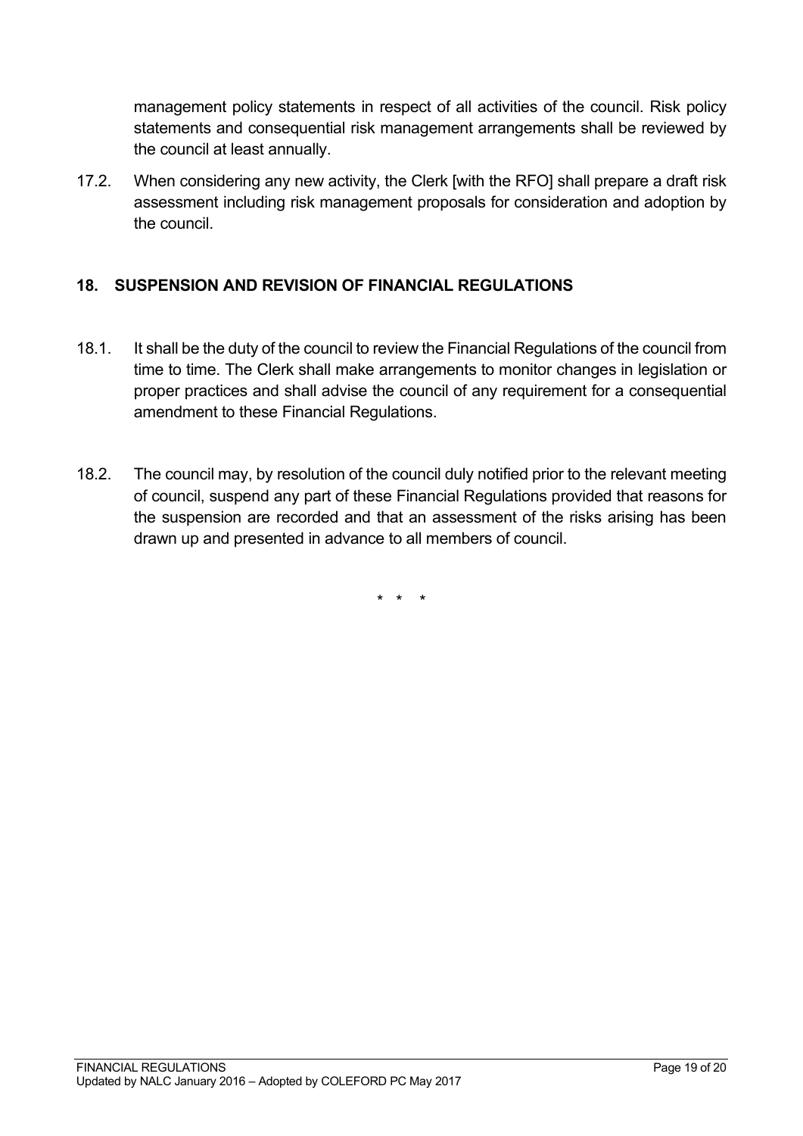management policy statements in respect of all activities of the council. Risk policy statements and consequential risk management arrangements shall be reviewed by the council at least annually.

17.2. When considering any new activity, the Clerk [with the RFO] shall prepare a draft risk assessment including risk management proposals for consideration and adoption by the council.

# <span id="page-18-0"></span>**18. SUSPENSION AND REVISION OF FINANCIAL REGULATIONS**

- 18.1. It shall be the duty of the council to review the Financial Regulations of the council from time to time. The Clerk shall make arrangements to monitor changes in legislation or proper practices and shall advise the council of any requirement for a consequential amendment to these Financial Regulations.
- 18.2. The council may, by resolution of the council duly notified prior to the relevant meeting of council, suspend any part of these Financial Regulations provided that reasons for the suspension are recorded and that an assessment of the risks arising has been drawn up and presented in advance to all members of council.

\* \* \*